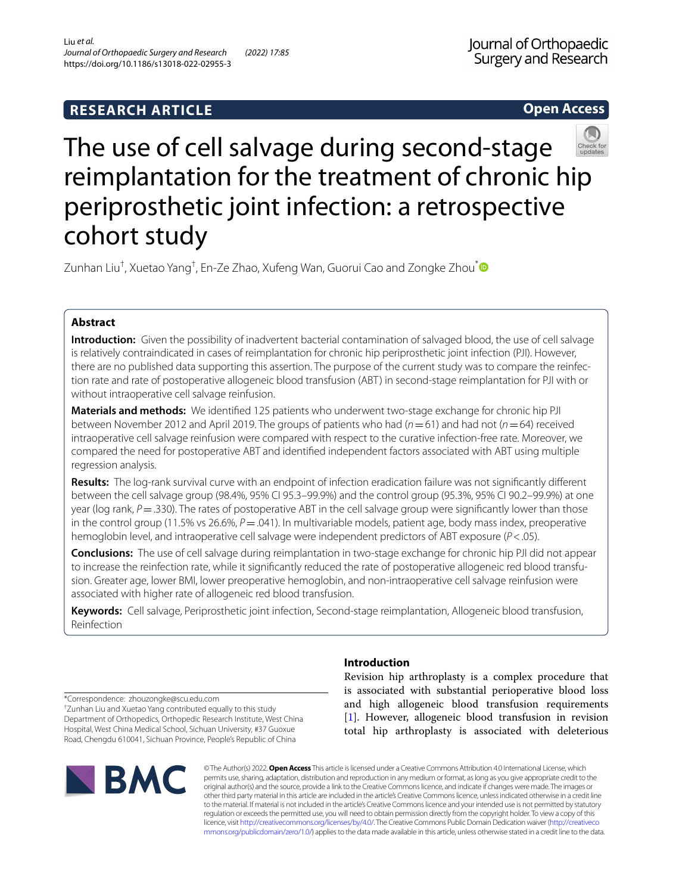**Open Access**

# The use of cell salvage during second-stage reimplantation for the treatment of chronic hip periprosthetic joint infection: a retrospective cohort study

Zunhan Liu<sup>†</sup>, Xuetao Yang<sup>†</sup>, En-Ze Zhao, Xufeng Wan, Guorui Cao and Zongke Zhou<sup>[\\*](http://orcid.org/0000-0002-9037-4756)</sup>

# **Abstract**

**Introduction:** Given the possibility of inadvertent bacterial contamination of salvaged blood, the use of cell salvage is relatively contraindicated in cases of reimplantation for chronic hip periprosthetic joint infection (PJI). However, there are no published data supporting this assertion. The purpose of the current study was to compare the reinfec‑ tion rate and rate of postoperative allogeneic blood transfusion (ABT) in second-stage reimplantation for PJI with or without intraoperative cell salvage reinfusion.

**Materials and methods:** We identifed 125 patients who underwent two-stage exchange for chronic hip PJI between November 2012 and April 2019. The groups of patients who had (*n*=61) and had not (*n*=64) received intraoperative cell salvage reinfusion were compared with respect to the curative infection-free rate. Moreover, we compared the need for postoperative ABT and identifed independent factors associated with ABT using multiple regression analysis.

**Results:** The log-rank survival curve with an endpoint of infection eradication failure was not signifcantly diferent between the cell salvage group (98.4%, 95% CI 95.3–99.9%) and the control group (95.3%, 95% CI 90.2–99.9%) at one year (log rank, *P* = .330). The rates of postoperative ABT in the cell salvage group were significantly lower than those in the control group (11.5% vs 26.6%, *P* = .041). In multivariable models, patient age, body mass index, preoperative hemoglobin level, and intraoperative cell salvage were independent predictors of ABT exposure (*P*<.05).

**Conclusions:** The use of cell salvage during reimplantation in two-stage exchange for chronic hip PJI did not appear to increase the reinfection rate, while it significantly reduced the rate of postoperative allogeneic red blood transfusion. Greater age, lower BMI, lower preoperative hemoglobin, and non-intraoperative cell salvage reinfusion were associated with higher rate of allogeneic red blood transfusion.

**Keywords:** Cell salvage, Periprosthetic joint infection, Second-stage reimplantation, Allogeneic blood transfusion, Reinfection

# **Introduction**

Revision hip arthroplasty is a complex procedure that is associated with substantial perioperative blood loss and high allogeneic blood transfusion requirements [[1\]](#page-8-0). However, allogeneic blood transfusion in revision total hip arthroplasty is associated with deleterious

\*Correspondence: zhouzongke@scu.edu.com

† Zunhan Liu and Xuetao Yang contributed equally to this study Department of Orthopedics, Orthopedic Research Institute, West China Hospital, West China Medical School, Sichuan University, #37 Guoxue Road, Chengdu 610041, Sichuan Province, People's Republic of China



© The Author(s) 2022. **Open Access** This article is licensed under a Creative Commons Attribution 4.0 International License, which permits use, sharing, adaptation, distribution and reproduction in any medium or format, as long as you give appropriate credit to the original author(s) and the source, provide a link to the Creative Commons licence, and indicate if changes were made. The images or other third party material in this article are included in the article's Creative Commons licence, unless indicated otherwise in a credit line to the material. If material is not included in the article's Creative Commons licence and your intended use is not permitted by statutory regulation or exceeds the permitted use, you will need to obtain permission directly from the copyright holder. To view a copy of this licence, visit [http://creativecommons.org/licenses/by/4.0/.](http://creativecommons.org/licenses/by/4.0/) The Creative Commons Public Domain Dedication waiver ([http://creativeco](http://creativecommons.org/publicdomain/zero/1.0/) [mmons.org/publicdomain/zero/1.0/](http://creativecommons.org/publicdomain/zero/1.0/)) applies to the data made available in this article, unless otherwise stated in a credit line to the data.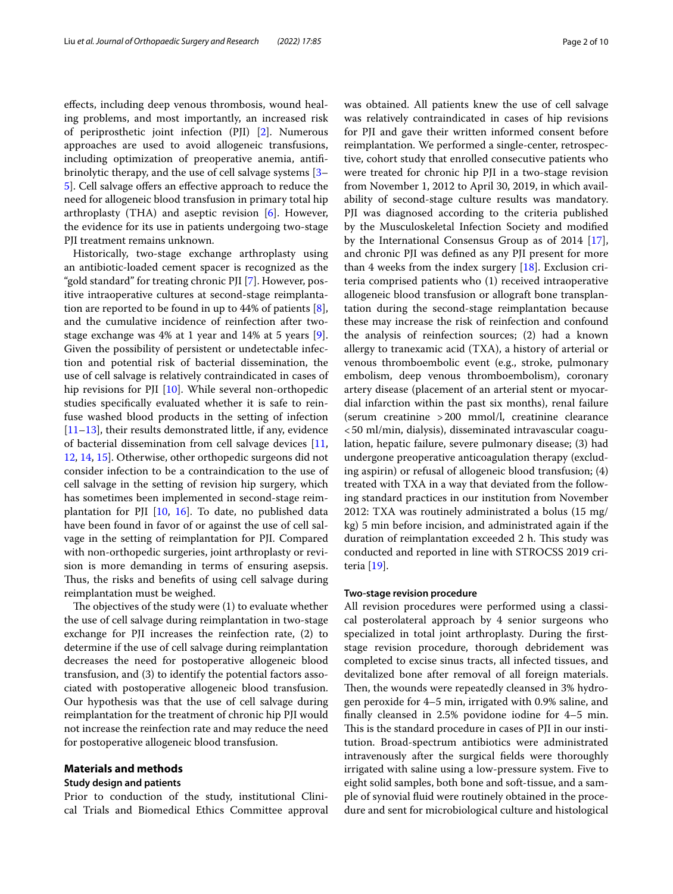efects, including deep venous thrombosis, wound healing problems, and most importantly, an increased risk of periprosthetic joint infection (PJI) [[2](#page-8-1)]. Numerous approaches are used to avoid allogeneic transfusions, including optimization of preoperative anemia, antifbrinolytic therapy, and the use of cell salvage systems [[3–](#page-8-2) 5. Soll salvage offers an effective approach to reduce the need for allogeneic blood transfusion in primary total hip arthroplasty (THA) and aseptic revision [\[6\]](#page-8-4). However, the evidence for its use in patients undergoing two-stage PJI treatment remains unknown.

Historically, two-stage exchange arthroplasty using an antibiotic-loaded cement spacer is recognized as the "gold standard" for treating chronic PJI [\[7](#page-8-5)]. However, positive intraoperative cultures at second-stage reimplantation are reported to be found in up to 44% of patients [\[8](#page-8-6)], and the cumulative incidence of reinfection after twostage exchange was 4% at 1 year and 14% at 5 years [\[9](#page-8-7)]. Given the possibility of persistent or undetectable infection and potential risk of bacterial dissemination, the use of cell salvage is relatively contraindicated in cases of hip revisions for PJI [\[10\]](#page-8-8). While several non-orthopedic studies specifcally evaluated whether it is safe to reinfuse washed blood products in the setting of infection  $[11–13]$  $[11–13]$  $[11–13]$  $[11–13]$ , their results demonstrated little, if any, evidence of bacterial dissemination from cell salvage devices [\[11](#page-8-9), [12,](#page-8-11) [14,](#page-8-12) [15](#page-8-13)]. Otherwise, other orthopedic surgeons did not consider infection to be a contraindication to the use of cell salvage in the setting of revision hip surgery, which has sometimes been implemented in second-stage reimplantation for PJI  $[10, 16]$  $[10, 16]$  $[10, 16]$  $[10, 16]$ . To date, no published data have been found in favor of or against the use of cell salvage in the setting of reimplantation for PJI. Compared with non-orthopedic surgeries, joint arthroplasty or revision is more demanding in terms of ensuring asepsis. Thus, the risks and benefits of using cell salvage during reimplantation must be weighed.

The objectives of the study were (1) to evaluate whether the use of cell salvage during reimplantation in two-stage exchange for PJI increases the reinfection rate, (2) to determine if the use of cell salvage during reimplantation decreases the need for postoperative allogeneic blood transfusion, and (3) to identify the potential factors associated with postoperative allogeneic blood transfusion. Our hypothesis was that the use of cell salvage during reimplantation for the treatment of chronic hip PJI would not increase the reinfection rate and may reduce the need for postoperative allogeneic blood transfusion.

## **Materials and methods**

#### **Study design and patients**

Prior to conduction of the study, institutional Clinical Trials and Biomedical Ethics Committee approval was obtained. All patients knew the use of cell salvage was relatively contraindicated in cases of hip revisions for PJI and gave their written informed consent before reimplantation. We performed a single-center, retrospective, cohort study that enrolled consecutive patients who were treated for chronic hip PJI in a two-stage revision from November 1, 2012 to April 30, 2019, in which availability of second-stage culture results was mandatory. PJI was diagnosed according to the criteria published by the Musculoskeletal Infection Society and modifed by the International Consensus Group as of 2014 [\[17](#page-8-15)], and chronic PJI was defned as any PJI present for more than 4 weeks from the index surgery [\[18](#page-8-16)]. Exclusion criteria comprised patients who (1) received intraoperative allogeneic blood transfusion or allograft bone transplantation during the second-stage reimplantation because these may increase the risk of reinfection and confound the analysis of reinfection sources; (2) had a known allergy to tranexamic acid (TXA), a history of arterial or venous thromboembolic event (e.g., stroke, pulmonary embolism, deep venous thromboembolism), coronary artery disease (placement of an arterial stent or myocardial infarction within the past six months), renal failure (serum creatinine >200 mmol/l, creatinine clearance <50 ml/min, dialysis), disseminated intravascular coagulation, hepatic failure, severe pulmonary disease; (3) had undergone preoperative anticoagulation therapy (excluding aspirin) or refusal of allogeneic blood transfusion; (4) treated with TXA in a way that deviated from the following standard practices in our institution from November 2012: TXA was routinely administrated a bolus (15 mg/ kg) 5 min before incision, and administrated again if the duration of reimplantation exceeded 2 h. This study was conducted and reported in line with STROCSS 2019 criteria [[19\]](#page-8-17).

## **Two‑stage revision procedure**

All revision procedures were performed using a classical posterolateral approach by 4 senior surgeons who specialized in total joint arthroplasty. During the frststage revision procedure, thorough debridement was completed to excise sinus tracts, all infected tissues, and devitalized bone after removal of all foreign materials. Then, the wounds were repeatedly cleansed in 3% hydrogen peroxide for 4–5 min, irrigated with 0.9% saline, and fnally cleansed in 2.5% povidone iodine for 4–5 min. This is the standard procedure in cases of PJI in our institution. Broad-spectrum antibiotics were administrated intravenously after the surgical felds were thoroughly irrigated with saline using a low-pressure system. Five to eight solid samples, both bone and soft-tissue, and a sample of synovial fuid were routinely obtained in the procedure and sent for microbiological culture and histological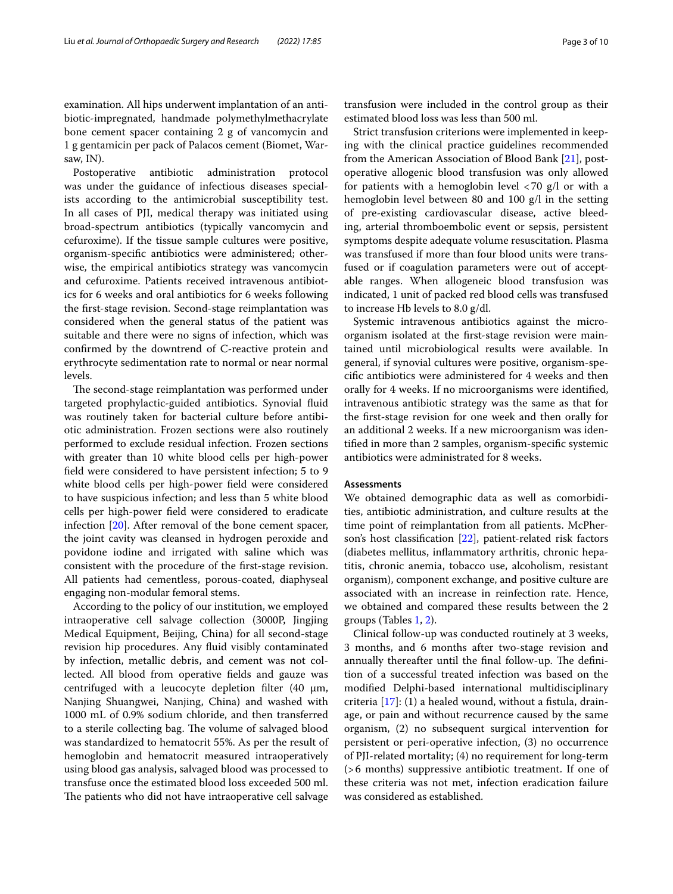examination. All hips underwent implantation of an antibiotic-impregnated, handmade polymethylmethacrylate bone cement spacer containing 2 g of vancomycin and 1 g gentamicin per pack of Palacos cement (Biomet, Warsaw, IN).

Postoperative antibiotic administration protocol was under the guidance of infectious diseases specialists according to the antimicrobial susceptibility test. In all cases of PJI, medical therapy was initiated using broad-spectrum antibiotics (typically vancomycin and cefuroxime). If the tissue sample cultures were positive, organism-specifc antibiotics were administered; otherwise, the empirical antibiotics strategy was vancomycin and cefuroxime. Patients received intravenous antibiotics for 6 weeks and oral antibiotics for 6 weeks following the frst-stage revision. Second-stage reimplantation was considered when the general status of the patient was suitable and there were no signs of infection, which was confrmed by the downtrend of C-reactive protein and erythrocyte sedimentation rate to normal or near normal levels.

The second-stage reimplantation was performed under targeted prophylactic-guided antibiotics. Synovial fuid was routinely taken for bacterial culture before antibiotic administration. Frozen sections were also routinely performed to exclude residual infection. Frozen sections with greater than 10 white blood cells per high-power feld were considered to have persistent infection; 5 to 9 white blood cells per high-power feld were considered to have suspicious infection; and less than 5 white blood cells per high-power feld were considered to eradicate infection [[20](#page-8-18)]. After removal of the bone cement spacer, the joint cavity was cleansed in hydrogen peroxide and povidone iodine and irrigated with saline which was consistent with the procedure of the frst-stage revision. All patients had cementless, porous-coated, diaphyseal engaging non-modular femoral stems.

According to the policy of our institution, we employed intraoperative cell salvage collection (3000P, Jingjing Medical Equipment, Beijing, China) for all second-stage revision hip procedures. Any fuid visibly contaminated by infection, metallic debris, and cement was not collected. All blood from operative felds and gauze was centrifuged with a leucocyte depletion filter  $(40 \mu m,$ Nanjing Shuangwei, Nanjing, China) and washed with 1000 mL of 0.9% sodium chloride, and then transferred to a sterile collecting bag. The volume of salvaged blood was standardized to hematocrit 55%. As per the result of hemoglobin and hematocrit measured intraoperatively using blood gas analysis, salvaged blood was processed to transfuse once the estimated blood loss exceeded 500 ml. The patients who did not have intraoperative cell salvage transfusion were included in the control group as their estimated blood loss was less than 500 ml.

Strict transfusion criterions were implemented in keeping with the clinical practice guidelines recommended from the American Association of Blood Bank [[21\]](#page-8-19), postoperative allogenic blood transfusion was only allowed for patients with a hemoglobin level  $\langle 70 \text{ g}/1 \text{ or with a} \rangle$ hemoglobin level between 80 and 100 g/l in the setting of pre-existing cardiovascular disease, active bleeding, arterial thromboembolic event or sepsis, persistent symptoms despite adequate volume resuscitation. Plasma was transfused if more than four blood units were transfused or if coagulation parameters were out of acceptable ranges. When allogeneic blood transfusion was indicated, 1 unit of packed red blood cells was transfused to increase Hb levels to 8.0 g/dl.

Systemic intravenous antibiotics against the microorganism isolated at the frst-stage revision were maintained until microbiological results were available. In general, if synovial cultures were positive, organism-specifc antibiotics were administered for 4 weeks and then orally for 4 weeks. If no microorganisms were identifed, intravenous antibiotic strategy was the same as that for the frst-stage revision for one week and then orally for an additional 2 weeks. If a new microorganism was identifed in more than 2 samples, organism-specifc systemic antibiotics were administrated for 8 weeks.

## **Assessments**

We obtained demographic data as well as comorbidities, antibiotic administration, and culture results at the time point of reimplantation from all patients. McPherson's host classifcation [[22\]](#page-8-20), patient-related risk factors (diabetes mellitus, infammatory arthritis, chronic hepatitis, chronic anemia, tobacco use, alcoholism, resistant organism), component exchange, and positive culture are associated with an increase in reinfection rate. Hence, we obtained and compared these results between the 2 groups (Tables [1,](#page-3-0) [2](#page-5-0)).

Clinical follow-up was conducted routinely at 3 weeks, 3 months, and 6 months after two-stage revision and annually thereafter until the final follow-up. The definition of a successful treated infection was based on the modifed Delphi-based international multidisciplinary criteria  $[17]$ :  $(1)$  a healed wound, without a fistula, drainage, or pain and without recurrence caused by the same organism, (2) no subsequent surgical intervention for persistent or peri-operative infection, (3) no occurrence of PJI-related mortality; (4) no requirement for long-term (>6 months) suppressive antibiotic treatment. If one of these criteria was not met, infection eradication failure was considered as established.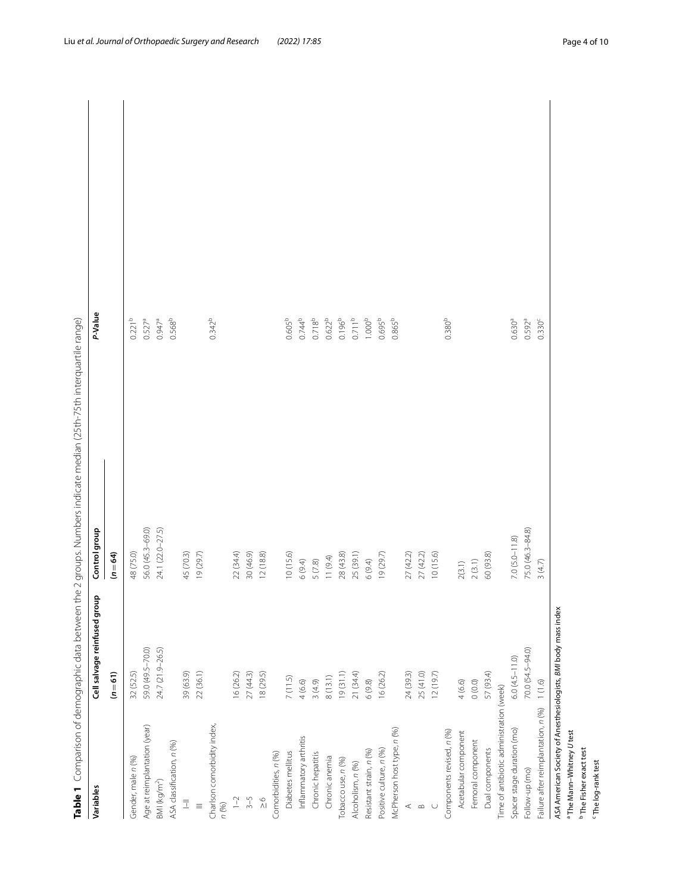| $0.568^{b}$<br>$0.342^{b}$<br>$0.744^{b}$<br>$0.718^{b}$<br>$0.622^{b}$<br>$0.711^{b}$<br>$0.695^{b}$<br>0.865 <sup>b</sup><br>$0.221^{b}$<br>$0.947^{a}$<br>$0.196^{b}$<br>1.000 <sup>b</sup><br>0.380 <sup>b</sup><br>$0.630^{a}$<br>$0.592^{a}$<br>$0.527^{a}$<br>0.605 <sup>b</sup><br>0.330 <sup>c</sup><br>56.0 (45.3-69.0)<br>24.1 (22.0-27.5)<br>75.0 (46.3-84.8)<br>$7.0 (5.0 - 11.8)$<br>48 (75.0)<br>30 (46.9)<br>12(18.8)<br>45 (70.3)<br>22 (34.4)<br>28(43.8)<br>25 (39.1)<br>27(42.2)<br>27 (42.2)<br>10(15.6)<br>60 (93.8)<br>19 (29.7)<br>10(15.6)<br>19(29.7)<br>$(n = 64)$<br>11(9.4)<br>6(9.4)<br>6(9.4)<br>$5(7.8)$<br>2(3.1)<br>2(3.1)<br>3(4.7)<br>24.7 (21.9-26.5)<br>70.0 (54.5-94.0)<br>59.0 (49.5-70.0)<br>$6.0(4.5-11.0)$<br>22 (36.1)<br>57 (93.4)<br>$(n=61)$<br>32 (52.5)<br>39 (63.9)<br>16(26.2)<br>27(44.3)<br>18(29.5)<br>16(26.2)<br>24 (39.3)<br>25(41.0)<br>12(19.7)<br>19(31.1)<br>21 (34.4)<br>8(13.1)<br>7(11.5)<br>4(6.6)<br>4(6.6)<br>3(4.9)<br>6(9.8)<br>$0(0.0)$<br>$1(1.6)$<br>Time of antibiotic administration (week)<br>Failure after reimplantation, n (%)<br>Charlson comorbidity index,<br>Age at reimplantation (year)<br>McPherson host type, n (%)<br>Spacer stage duration (mo)<br>Components revised, n (%)<br>Acetabular component<br>Inflammatory arthritis<br>Femoral component<br>ASA classification, n (%)<br>Dual components<br>Positive culture, n (%)<br>Resistant strain, n (%)<br>Diabetes mellitus<br>Comorbidities, n (%)<br>Chronic hepatitis<br>Chronic anemia<br>Gender, male n (%)<br>Tobacco use, n (%)<br>Alcoholism, n (%)<br>Follow-up (mo)<br>BMR (kg/m <sup>2</sup> )<br>$1 - 2$<br>$3 - 5$<br>$\mathop{\wedge}\limits^{\circ}$<br>$\overline{\overline{\perp}}$<br>n (%)<br>$\equiv$<br>$\leq$ $\infty$ | Variables | Cell salvage reinfused group | Control group | P-Value |
|-----------------------------------------------------------------------------------------------------------------------------------------------------------------------------------------------------------------------------------------------------------------------------------------------------------------------------------------------------------------------------------------------------------------------------------------------------------------------------------------------------------------------------------------------------------------------------------------------------------------------------------------------------------------------------------------------------------------------------------------------------------------------------------------------------------------------------------------------------------------------------------------------------------------------------------------------------------------------------------------------------------------------------------------------------------------------------------------------------------------------------------------------------------------------------------------------------------------------------------------------------------------------------------------------------------------------------------------------------------------------------------------------------------------------------------------------------------------------------------------------------------------------------------------------------------------------------------------------------------------------------------------------------------------------------------------------------------------------------------------------------------------------------------------|-----------|------------------------------|---------------|---------|
|                                                                                                                                                                                                                                                                                                                                                                                                                                                                                                                                                                                                                                                                                                                                                                                                                                                                                                                                                                                                                                                                                                                                                                                                                                                                                                                                                                                                                                                                                                                                                                                                                                                                                                                                                                                         |           |                              |               |         |
|                                                                                                                                                                                                                                                                                                                                                                                                                                                                                                                                                                                                                                                                                                                                                                                                                                                                                                                                                                                                                                                                                                                                                                                                                                                                                                                                                                                                                                                                                                                                                                                                                                                                                                                                                                                         |           |                              |               |         |
|                                                                                                                                                                                                                                                                                                                                                                                                                                                                                                                                                                                                                                                                                                                                                                                                                                                                                                                                                                                                                                                                                                                                                                                                                                                                                                                                                                                                                                                                                                                                                                                                                                                                                                                                                                                         |           |                              |               |         |
|                                                                                                                                                                                                                                                                                                                                                                                                                                                                                                                                                                                                                                                                                                                                                                                                                                                                                                                                                                                                                                                                                                                                                                                                                                                                                                                                                                                                                                                                                                                                                                                                                                                                                                                                                                                         |           |                              |               |         |
|                                                                                                                                                                                                                                                                                                                                                                                                                                                                                                                                                                                                                                                                                                                                                                                                                                                                                                                                                                                                                                                                                                                                                                                                                                                                                                                                                                                                                                                                                                                                                                                                                                                                                                                                                                                         |           |                              |               |         |
|                                                                                                                                                                                                                                                                                                                                                                                                                                                                                                                                                                                                                                                                                                                                                                                                                                                                                                                                                                                                                                                                                                                                                                                                                                                                                                                                                                                                                                                                                                                                                                                                                                                                                                                                                                                         |           |                              |               |         |
|                                                                                                                                                                                                                                                                                                                                                                                                                                                                                                                                                                                                                                                                                                                                                                                                                                                                                                                                                                                                                                                                                                                                                                                                                                                                                                                                                                                                                                                                                                                                                                                                                                                                                                                                                                                         |           |                              |               |         |
|                                                                                                                                                                                                                                                                                                                                                                                                                                                                                                                                                                                                                                                                                                                                                                                                                                                                                                                                                                                                                                                                                                                                                                                                                                                                                                                                                                                                                                                                                                                                                                                                                                                                                                                                                                                         |           |                              |               |         |
|                                                                                                                                                                                                                                                                                                                                                                                                                                                                                                                                                                                                                                                                                                                                                                                                                                                                                                                                                                                                                                                                                                                                                                                                                                                                                                                                                                                                                                                                                                                                                                                                                                                                                                                                                                                         |           |                              |               |         |
|                                                                                                                                                                                                                                                                                                                                                                                                                                                                                                                                                                                                                                                                                                                                                                                                                                                                                                                                                                                                                                                                                                                                                                                                                                                                                                                                                                                                                                                                                                                                                                                                                                                                                                                                                                                         |           |                              |               |         |
|                                                                                                                                                                                                                                                                                                                                                                                                                                                                                                                                                                                                                                                                                                                                                                                                                                                                                                                                                                                                                                                                                                                                                                                                                                                                                                                                                                                                                                                                                                                                                                                                                                                                                                                                                                                         |           |                              |               |         |
|                                                                                                                                                                                                                                                                                                                                                                                                                                                                                                                                                                                                                                                                                                                                                                                                                                                                                                                                                                                                                                                                                                                                                                                                                                                                                                                                                                                                                                                                                                                                                                                                                                                                                                                                                                                         |           |                              |               |         |
|                                                                                                                                                                                                                                                                                                                                                                                                                                                                                                                                                                                                                                                                                                                                                                                                                                                                                                                                                                                                                                                                                                                                                                                                                                                                                                                                                                                                                                                                                                                                                                                                                                                                                                                                                                                         |           |                              |               |         |
|                                                                                                                                                                                                                                                                                                                                                                                                                                                                                                                                                                                                                                                                                                                                                                                                                                                                                                                                                                                                                                                                                                                                                                                                                                                                                                                                                                                                                                                                                                                                                                                                                                                                                                                                                                                         |           |                              |               |         |
|                                                                                                                                                                                                                                                                                                                                                                                                                                                                                                                                                                                                                                                                                                                                                                                                                                                                                                                                                                                                                                                                                                                                                                                                                                                                                                                                                                                                                                                                                                                                                                                                                                                                                                                                                                                         |           |                              |               |         |
|                                                                                                                                                                                                                                                                                                                                                                                                                                                                                                                                                                                                                                                                                                                                                                                                                                                                                                                                                                                                                                                                                                                                                                                                                                                                                                                                                                                                                                                                                                                                                                                                                                                                                                                                                                                         |           |                              |               |         |
|                                                                                                                                                                                                                                                                                                                                                                                                                                                                                                                                                                                                                                                                                                                                                                                                                                                                                                                                                                                                                                                                                                                                                                                                                                                                                                                                                                                                                                                                                                                                                                                                                                                                                                                                                                                         |           |                              |               |         |
|                                                                                                                                                                                                                                                                                                                                                                                                                                                                                                                                                                                                                                                                                                                                                                                                                                                                                                                                                                                                                                                                                                                                                                                                                                                                                                                                                                                                                                                                                                                                                                                                                                                                                                                                                                                         |           |                              |               |         |
|                                                                                                                                                                                                                                                                                                                                                                                                                                                                                                                                                                                                                                                                                                                                                                                                                                                                                                                                                                                                                                                                                                                                                                                                                                                                                                                                                                                                                                                                                                                                                                                                                                                                                                                                                                                         |           |                              |               |         |
|                                                                                                                                                                                                                                                                                                                                                                                                                                                                                                                                                                                                                                                                                                                                                                                                                                                                                                                                                                                                                                                                                                                                                                                                                                                                                                                                                                                                                                                                                                                                                                                                                                                                                                                                                                                         |           |                              |               |         |
|                                                                                                                                                                                                                                                                                                                                                                                                                                                                                                                                                                                                                                                                                                                                                                                                                                                                                                                                                                                                                                                                                                                                                                                                                                                                                                                                                                                                                                                                                                                                                                                                                                                                                                                                                                                         |           |                              |               |         |
|                                                                                                                                                                                                                                                                                                                                                                                                                                                                                                                                                                                                                                                                                                                                                                                                                                                                                                                                                                                                                                                                                                                                                                                                                                                                                                                                                                                                                                                                                                                                                                                                                                                                                                                                                                                         |           |                              |               |         |
|                                                                                                                                                                                                                                                                                                                                                                                                                                                                                                                                                                                                                                                                                                                                                                                                                                                                                                                                                                                                                                                                                                                                                                                                                                                                                                                                                                                                                                                                                                                                                                                                                                                                                                                                                                                         |           |                              |               |         |
|                                                                                                                                                                                                                                                                                                                                                                                                                                                                                                                                                                                                                                                                                                                                                                                                                                                                                                                                                                                                                                                                                                                                                                                                                                                                                                                                                                                                                                                                                                                                                                                                                                                                                                                                                                                         |           |                              |               |         |
|                                                                                                                                                                                                                                                                                                                                                                                                                                                                                                                                                                                                                                                                                                                                                                                                                                                                                                                                                                                                                                                                                                                                                                                                                                                                                                                                                                                                                                                                                                                                                                                                                                                                                                                                                                                         |           |                              |               |         |
|                                                                                                                                                                                                                                                                                                                                                                                                                                                                                                                                                                                                                                                                                                                                                                                                                                                                                                                                                                                                                                                                                                                                                                                                                                                                                                                                                                                                                                                                                                                                                                                                                                                                                                                                                                                         |           |                              |               |         |
|                                                                                                                                                                                                                                                                                                                                                                                                                                                                                                                                                                                                                                                                                                                                                                                                                                                                                                                                                                                                                                                                                                                                                                                                                                                                                                                                                                                                                                                                                                                                                                                                                                                                                                                                                                                         |           |                              |               |         |
|                                                                                                                                                                                                                                                                                                                                                                                                                                                                                                                                                                                                                                                                                                                                                                                                                                                                                                                                                                                                                                                                                                                                                                                                                                                                                                                                                                                                                                                                                                                                                                                                                                                                                                                                                                                         |           |                              |               |         |
|                                                                                                                                                                                                                                                                                                                                                                                                                                                                                                                                                                                                                                                                                                                                                                                                                                                                                                                                                                                                                                                                                                                                                                                                                                                                                                                                                                                                                                                                                                                                                                                                                                                                                                                                                                                         |           |                              |               |         |
|                                                                                                                                                                                                                                                                                                                                                                                                                                                                                                                                                                                                                                                                                                                                                                                                                                                                                                                                                                                                                                                                                                                                                                                                                                                                                                                                                                                                                                                                                                                                                                                                                                                                                                                                                                                         |           |                              |               |         |
|                                                                                                                                                                                                                                                                                                                                                                                                                                                                                                                                                                                                                                                                                                                                                                                                                                                                                                                                                                                                                                                                                                                                                                                                                                                                                                                                                                                                                                                                                                                                                                                                                                                                                                                                                                                         |           |                              |               |         |
|                                                                                                                                                                                                                                                                                                                                                                                                                                                                                                                                                                                                                                                                                                                                                                                                                                                                                                                                                                                                                                                                                                                                                                                                                                                                                                                                                                                                                                                                                                                                                                                                                                                                                                                                                                                         |           |                              |               |         |

<span id="page-3-0"></span>

a The Mann–Whitney *U* test b The Fisher exact test

c

The log-rank test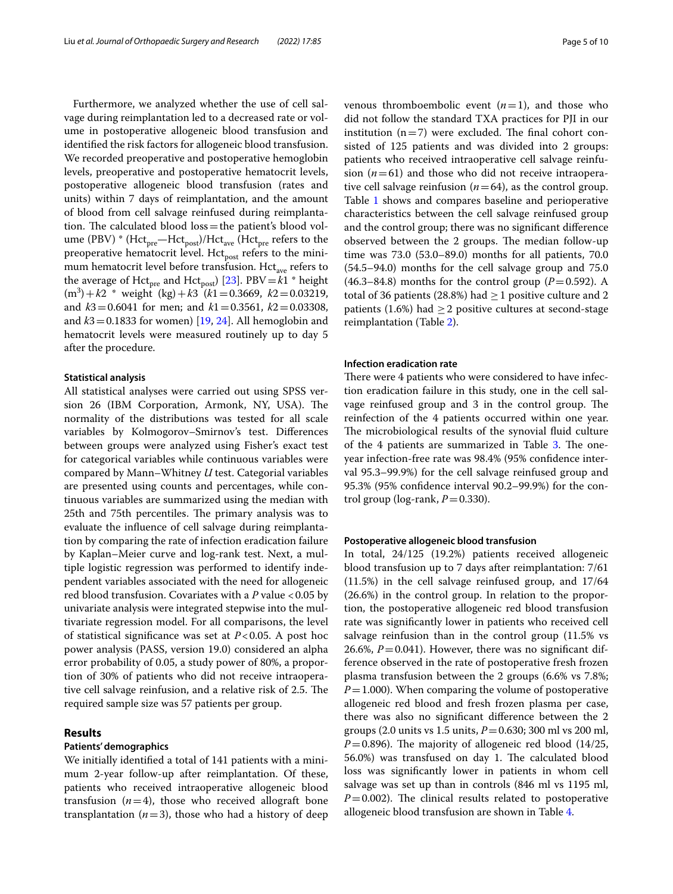Furthermore, we analyzed whether the use of cell salvage during reimplantation led to a decreased rate or volume in postoperative allogeneic blood transfusion and identifed the risk factors for allogeneic blood transfusion. We recorded preoperative and postoperative hemoglobin levels, preoperative and postoperative hematocrit levels, postoperative allogeneic blood transfusion (rates and units) within 7 days of reimplantation, and the amount of blood from cell salvage reinfused during reimplantation. The calculated blood  $loss$ =the patient's blood volume (PBV)  $*$  (Hct<sub>pre</sub>—Hct<sub>post</sub>)/Hct<sub>ave</sub> (Hct<sub>pre</sub> refers to the preoperative hematocrit level. Hct<sub>post</sub> refers to the minimum hematocrit level before transfusion. Hct<sub>ave</sub> refers to the average of Hct<sub>pre</sub> and Hct<sub>post</sub>) [[23](#page-8-21)]. PBV =  $k1$  \* height (m<sup>3</sup> )+*k*2 \* weight (kg)+*k*3 (*k*1=0.3669, *k*2=0.03219, and *k*3=0.6041 for men; and *k*1=0.3561, *k*2=0.03308, and  $k3$  = 0.1833 for women) [[19,](#page-8-17) [24](#page-8-22)]. All hemoglobin and hematocrit levels were measured routinely up to day 5 after the procedure.

## **Statistical analysis**

All statistical analyses were carried out using SPSS version 26 (IBM Corporation, Armonk, NY, USA). The normality of the distributions was tested for all scale variables by Kolmogorov–Smirnov's test. Diferences between groups were analyzed using Fisher's exact test for categorical variables while continuous variables were compared by Mann–Whitney *U* test. Categorial variables are presented using counts and percentages, while continuous variables are summarized using the median with 25th and 75th percentiles. The primary analysis was to evaluate the infuence of cell salvage during reimplantation by comparing the rate of infection eradication failure by Kaplan–Meier curve and log-rank test. Next, a multiple logistic regression was performed to identify independent variables associated with the need for allogeneic red blood transfusion. Covariates with a *P* value <0.05 by univariate analysis were integrated stepwise into the multivariate regression model. For all comparisons, the level of statistical signifcance was set at *P*<0.05. A post hoc power analysis (PASS, version 19.0) considered an alpha error probability of 0.05, a study power of 80%, a proportion of 30% of patients who did not receive intraoperative cell salvage reinfusion, and a relative risk of 2.5. The required sample size was 57 patients per group.

## **Results**

## **Patients' demographics**

We initially identifed a total of 141 patients with a minimum 2-year follow-up after reimplantation. Of these, patients who received intraoperative allogeneic blood transfusion  $(n=4)$ , those who received allograft bone transplantation  $(n=3)$ , those who had a history of deep venous thromboembolic event  $(n=1)$ , and those who did not follow the standard TXA practices for PJI in our institution  $(n=7)$  were excluded. The final cohort consisted of 125 patients and was divided into 2 groups: patients who received intraoperative cell salvage reinfusion  $(n=61)$  and those who did not receive intraoperative cell salvage reinfusion  $(n=64)$ , as the control group. Table [1](#page-3-0) shows and compares baseline and perioperative characteristics between the cell salvage reinfused group and the control group; there was no signifcant diference observed between the 2 groups. The median follow-up time was 73.0 (53.0–89.0) months for all patients, 70.0 (54.5–94.0) months for the cell salvage group and 75.0  $(46.3-84.8)$  months for the control group  $(P=0.592)$ . A total of 36 patients (28.8%) had  $\geq$  1 positive culture and 2 patients (1.6%) had  $\geq$  2 positive cultures at second-stage reimplantation (Table [2\)](#page-5-0).

## **Infection eradication rate**

There were 4 patients who were considered to have infection eradication failure in this study, one in the cell salvage reinfused group and 3 in the control group. The reinfection of the 4 patients occurred within one year. The microbiological results of the synovial fluid culture of the 4 patients are summarized in Table [3](#page-5-1). The oneyear infection-free rate was 98.4% (95% confdence interval 95.3–99.9%) for the cell salvage reinfused group and 95.3% (95% confdence interval 90.2–99.9%) for the control group ( $log$ -rank,  $P=0.330$ ).

## **Postoperative allogeneic blood transfusion**

In total, 24/125 (19.2%) patients received allogeneic blood transfusion up to 7 days after reimplantation: 7/61 (11.5%) in the cell salvage reinfused group, and 17/64 (26.6%) in the control group. In relation to the proportion, the postoperative allogeneic red blood transfusion rate was signifcantly lower in patients who received cell salvage reinfusion than in the control group (11.5% vs 26.6%,  $P = 0.041$ ). However, there was no significant difference observed in the rate of postoperative fresh frozen plasma transfusion between the 2 groups (6.6% vs 7.8%;  $P=1.000$ ). When comparing the volume of postoperative allogeneic red blood and fresh frozen plasma per case, there was also no signifcant diference between the 2 groups (2.0 units vs 1.5 units, *P*=0.630; 300 ml vs 200 ml,  $P=0.896$ ). The majority of allogeneic red blood (14/25, 56.0%) was transfused on day 1. The calculated blood loss was signifcantly lower in patients in whom cell salvage was set up than in controls (846 ml vs 1195 ml,  $P=0.002$ ). The clinical results related to postoperative allogeneic blood transfusion are shown in Table [4](#page-6-0).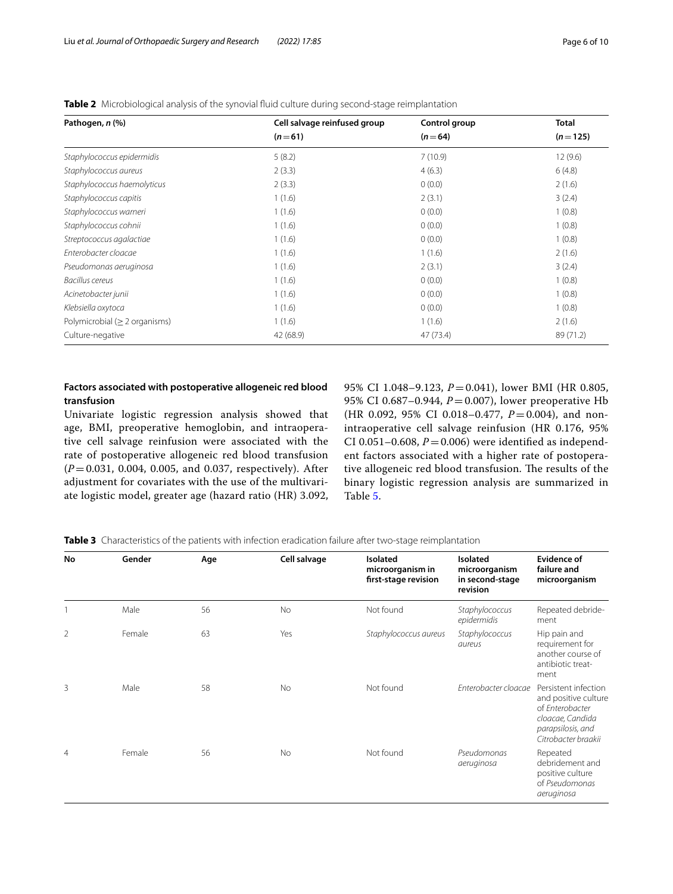| Pathogen, n (%)                     | Cell salvage reinfused group | Control group | <b>Total</b> |
|-------------------------------------|------------------------------|---------------|--------------|
|                                     | $(n=61)$                     | $(n=64)$      | $(n=125)$    |
| Staphylococcus epidermidis          | 5(8.2)                       | 7(10.9)       | 12(9.6)      |
| Staphylococcus aureus               | 2(3.3)                       | 4(6.3)        | 6(4.8)       |
| Staphylococcus haemolyticus         | 2(3.3)                       | 0(0.0)        | 2(1.6)       |
| Staphylococcus capitis              | 1(1.6)                       | 2(3.1)        | 3(2.4)       |
| Staphylococcus warneri              | 1(1.6)                       | 0(0.0)        | 1(0.8)       |
| Staphylococcus cohnii               | 1(1.6)                       | 0(0.0)        | 1(0.8)       |
| Streptococcus agalactiae            | 1(1.6)                       | 0(0.0)        | 1(0.8)       |
| Enterobacter cloacae                | 1(1.6)                       | 1(1.6)        | 2(1.6)       |
| Pseudomonas aeruginosa              | 1(1.6)                       | 2(3.1)        | 3(2.4)       |
| Bacillus cereus                     | 1(1.6)                       | 0(0.0)        | 1(0.8)       |
| Acinetobacter junii                 | 1(1.6)                       | 0(0.0)        | 1(0.8)       |
| Klebsiella oxytoca                  | 1(1.6)                       | 0(0.0)        | 1(0.8)       |
| Polymicrobial ( $\geq$ 2 organisms) | 1(1.6)                       | 1(1.6)        | 2(1.6)       |
| Culture-negative                    | 42 (68.9)                    | 47 (73.4)     | 89 (71.2)    |

<span id="page-5-0"></span>**Table 2** Microbiological analysis of the synovial fuid culture during second-stage reimplantation

# **Factors associated with postoperative allogeneic red blood transfusion**

Univariate logistic regression analysis showed that age, BMI, preoperative hemoglobin, and intraoperative cell salvage reinfusion were associated with the rate of postoperative allogeneic red blood transfusion (*P*=0.031, 0.004, 0.005, and 0.037, respectively). After adjustment for covariates with the use of the multivariate logistic model, greater age (hazard ratio (HR) 3.092,

95% CI 1.048–9.123, *P*=0.041), lower BMI (HR 0.805, 95% CI 0.687–0.944, *P*=0.007), lower preoperative Hb (HR 0.092, 95% CI 0.018-0.477,  $P = 0.004$ ), and nonintraoperative cell salvage reinfusion (HR 0.176, 95% CI 0.051-0.608,  $P = 0.006$ ) were identified as independent factors associated with a higher rate of postoperative allogeneic red blood transfusion. The results of the binary logistic regression analysis are summarized in Table [5](#page-6-1).

<span id="page-5-1"></span>

|  | Table 3 Characteristics of the patients with infection eradication failure after two-stage reimplantation |  |  |
|--|-----------------------------------------------------------------------------------------------------------|--|--|
|  |                                                                                                           |  |  |

| No             | Gender | Age | Cell salvage | Isolated<br>microorganism in<br>first-stage revision | Isolated<br>microorganism<br>in second-stage<br>revision | <b>Evidence of</b><br>failure and<br>microorganism                                                                              |
|----------------|--------|-----|--------------|------------------------------------------------------|----------------------------------------------------------|---------------------------------------------------------------------------------------------------------------------------------|
|                | Male   | 56  | No           | Not found                                            | Staphylococcus<br>epidermidis                            | Repeated debride-<br>ment                                                                                                       |
| $\overline{2}$ | Female | 63  | Yes          | Staphylococcus aureus                                | Staphylococcus<br>aureus                                 | Hip pain and<br>requirement for<br>another course of<br>antibiotic treat-<br>ment                                               |
| 3              | Male   | 58  | <b>No</b>    | Not found                                            | Enterobacter cloacae                                     | Persistent infection<br>and positive culture<br>of Enterobacter<br>cloacae, Candida<br>parapsilosis, and<br>Citrobacter braakii |
| $\overline{4}$ | Female | 56  | <b>No</b>    | Not found                                            | Pseudomonas<br>aeruginosa                                | Repeated<br>debridement and<br>positive culture<br>of Pseudomonas<br>aeruginosa                                                 |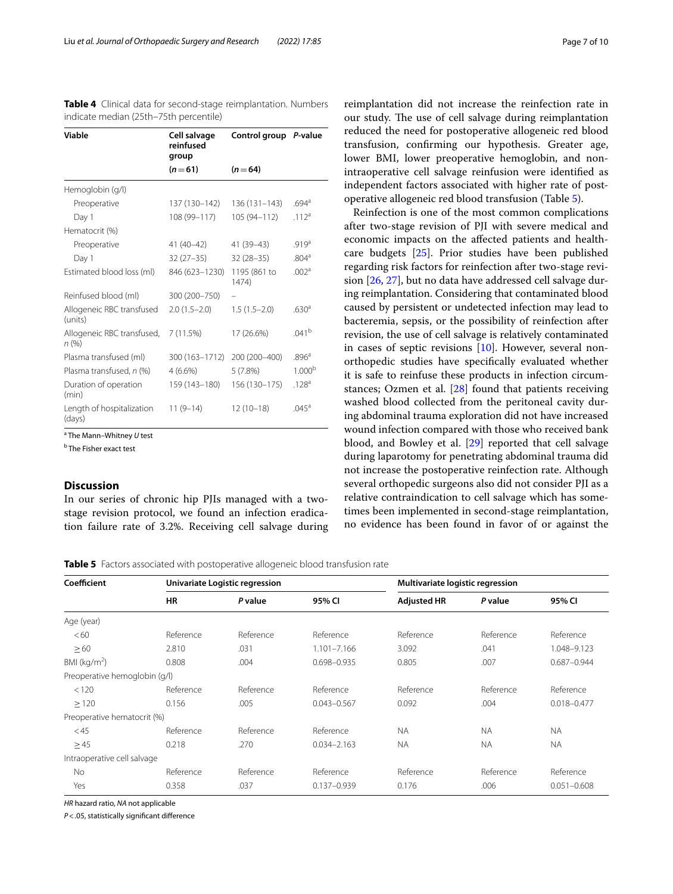| <b>Viable</b>                        | Cell salvage<br>reinfused<br>group | Control group P-value |                     |
|--------------------------------------|------------------------------------|-----------------------|---------------------|
|                                      | $(n=61)$                           | $(n=64)$              |                     |
| Hemoglobin (g/l)                     |                                    |                       |                     |
| Preoperative                         | 137 (130–142)                      | $136(131 - 143)$      | $.694$ <sup>a</sup> |
| Day 1                                | 108 (99-117)                       | 105 (94-112)          | .112 <sup>a</sup>   |
| Hematocrit (%)                       |                                    |                       |                     |
| Preoperative                         | 41 (40-42)                         | 41 (39-43)            | .919a               |
| Day 1                                | $32(27-35)$                        | $32(28-35)$           | .804 <sup>a</sup>   |
| Estimated blood loss (ml)            | 846 (623-1230)                     | 1195 (861 to<br>1474) | .002a               |
| Reinfused blood (ml)                 | 300 (200-750)                      |                       |                     |
| Allogeneic RBC transfused<br>(units) | $2.0(1.5-2.0)$                     | $1.5(1.5-2.0)$        | .630 <sup>a</sup>   |
| Allogeneic RBC transfused,<br>n (%)  | 7(11.5%)                           | 17 (26.6%)            | $.041^{b}$          |
| Plasma transfused (ml)               | 300 (163-1712)                     | 200 (200-400)         | .896 <sup>a</sup>   |
| Plasma transfused, n (%)             | $4(6.6\%)$                         | 5(7.8%)               | 1.000 <sup>b</sup>  |
| Duration of operation<br>(min)       | 159 (143–180)                      | 156 (130-175)         | .128a               |
| Length of hospitalization<br>(days)  | $11(9-14)$                         | $12(10-18)$           | .045 <sup>a</sup>   |

<span id="page-6-0"></span>**Table 4** Clinical data for second-stage reimplantation. Numbers indicate median (25th–75th percentile)

a The Mann–Whitney *U* test

<sup>b</sup> The Fisher exact test

## **Discussion**

In our series of chronic hip PJIs managed with a twostage revision protocol, we found an infection eradication failure rate of 3.2%. Receiving cell salvage during

reimplantation did not increase the reinfection rate in our study. The use of cell salvage during reimplantation reduced the need for postoperative allogeneic red blood transfusion, confrming our hypothesis. Greater age, lower BMI, lower preoperative hemoglobin, and nonintraoperative cell salvage reinfusion were identifed as independent factors associated with higher rate of postoperative allogeneic red blood transfusion (Table [5](#page-6-1)).

Reinfection is one of the most common complications after two-stage revision of PJI with severe medical and economic impacts on the afected patients and healthcare budgets [\[25\]](#page-8-23). Prior studies have been published regarding risk factors for reinfection after two-stage revision [\[26](#page-8-24), [27\]](#page-8-25), but no data have addressed cell salvage during reimplantation. Considering that contaminated blood caused by persistent or undetected infection may lead to bacteremia, sepsis, or the possibility of reinfection after revision, the use of cell salvage is relatively contaminated in cases of septic revisions [\[10](#page-8-8)]. However, several nonorthopedic studies have specifcally evaluated whether it is safe to reinfuse these products in infection circumstances; Ozmen et al. [\[28](#page-8-26)] found that patients receiving washed blood collected from the peritoneal cavity during abdominal trauma exploration did not have increased wound infection compared with those who received bank blood, and Bowley et al. [\[29](#page-9-0)] reported that cell salvage during laparotomy for penetrating abdominal trauma did not increase the postoperative reinfection rate. Although several orthopedic surgeons also did not consider PJI as a relative contraindication to cell salvage which has sometimes been implemented in second-stage reimplantation, no evidence has been found in favor of or against the

<span id="page-6-1"></span>**Table 5** Factors associated with postoperative allogeneic blood transfusion rate

| Coefficient                   | Univariate Logistic regression |           |                 | Multivariate logistic regression |           |                 |
|-------------------------------|--------------------------------|-----------|-----------------|----------------------------------|-----------|-----------------|
|                               | <b>HR</b>                      | P value   | 95% CI          | <b>Adjusted HR</b>               | P value   | 95% CI          |
| Age (year)                    |                                |           |                 |                                  |           |                 |
| <60                           | Reference                      | Reference | Reference       | Reference                        | Reference | Reference       |
| $\geq 60$                     | 2.810                          | .031      | 1.101-7.166     | 3.092                            | .041      | 1.048-9.123     |
| BMI ( $kg/m2$ )               | 0.808                          | .004      | 0.698-0.935     | 0.805                            | .007      | $0.687 - 0.944$ |
| Preoperative hemoglobin (g/l) |                                |           |                 |                                  |           |                 |
| < 120                         | Reference                      | Reference | Reference       | Reference                        | Reference | Reference       |
| $\geq$ 120                    | 0.156                          | .005      | $0.043 - 0.567$ | 0.092                            | .004      | $0.018 - 0.477$ |
| Preoperative hematocrit (%)   |                                |           |                 |                                  |           |                 |
| $<$ 45                        | Reference                      | Reference | Reference       | <b>NA</b>                        | <b>NA</b> | <b>NA</b>       |
| $\geq$ 45                     | 0.218                          | .270      | $0.034 - 2.163$ | <b>NA</b>                        | <b>NA</b> | <b>NA</b>       |
| Intraoperative cell salvage   |                                |           |                 |                                  |           |                 |
| No.                           | Reference                      | Reference | Reference       | Reference                        | Reference | Reference       |
| Yes                           | 0.358                          | .037      | $0.137 - 0.939$ | 0.176                            | .006      | $0.051 - 0.608$ |

*HR* hazard ratio, *NA* not applicable

*P*<.05, statistically signifcant diference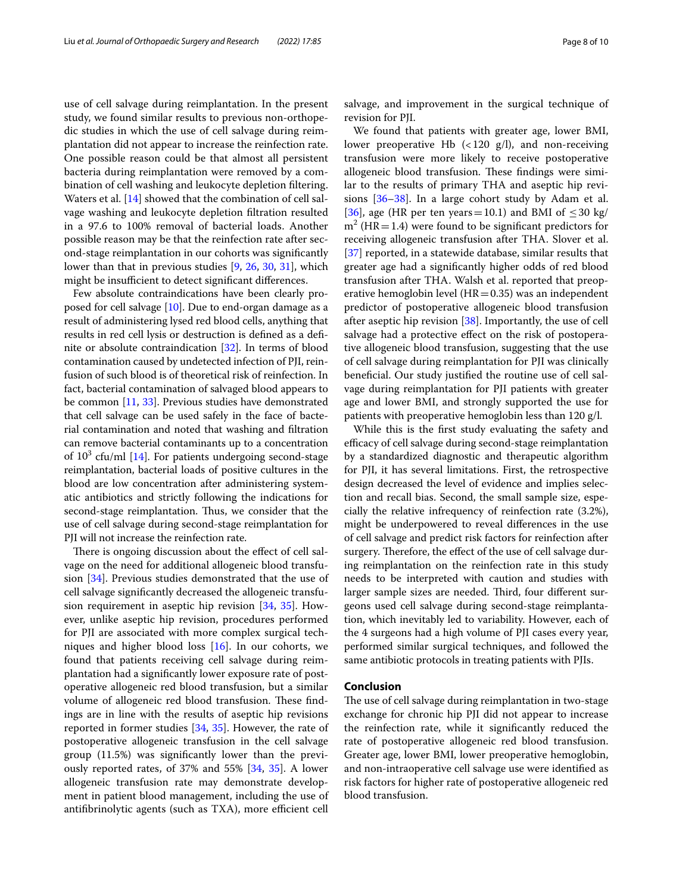use of cell salvage during reimplantation. In the present study, we found similar results to previous non-orthopedic studies in which the use of cell salvage during reimplantation did not appear to increase the reinfection rate. One possible reason could be that almost all persistent bacteria during reimplantation were removed by a combination of cell washing and leukocyte depletion fltering. Waters et al. [[14\]](#page-8-12) showed that the combination of cell salvage washing and leukocyte depletion fltration resulted in a 97.6 to 100% removal of bacterial loads. Another possible reason may be that the reinfection rate after second-stage reimplantation in our cohorts was signifcantly lower than that in previous studies [\[9](#page-8-7), [26](#page-8-24), [30](#page-9-1), [31](#page-9-2)], which might be insufficient to detect significant differences.

Few absolute contraindications have been clearly proposed for cell salvage [[10](#page-8-8)]. Due to end-organ damage as a result of administering lysed red blood cells, anything that results in red cell lysis or destruction is defned as a defnite or absolute contraindication [[32](#page-9-3)]. In terms of blood contamination caused by undetected infection of PJI, reinfusion of such blood is of theoretical risk of reinfection. In fact, bacterial contamination of salvaged blood appears to be common [\[11](#page-8-9), [33\]](#page-9-4). Previous studies have demonstrated that cell salvage can be used safely in the face of bacterial contamination and noted that washing and fltration can remove bacterial contaminants up to a concentration of  $10^3$  cfu/ml  $[14]$  $[14]$  $[14]$ . For patients undergoing second-stage reimplantation, bacterial loads of positive cultures in the blood are low concentration after administering systematic antibiotics and strictly following the indications for second-stage reimplantation. Thus, we consider that the use of cell salvage during second-stage reimplantation for PJI will not increase the reinfection rate.

There is ongoing discussion about the effect of cell salvage on the need for additional allogeneic blood transfusion [\[34](#page-9-5)]. Previous studies demonstrated that the use of cell salvage signifcantly decreased the allogeneic transfusion requirement in aseptic hip revision [[34](#page-9-5), [35](#page-9-6)]. However, unlike aseptic hip revision, procedures performed for PJI are associated with more complex surgical techniques and higher blood loss [[16](#page-8-14)]. In our cohorts, we found that patients receiving cell salvage during reimplantation had a signifcantly lower exposure rate of postoperative allogeneic red blood transfusion, but a similar volume of allogeneic red blood transfusion. These findings are in line with the results of aseptic hip revisions reported in former studies [[34](#page-9-5), [35\]](#page-9-6). However, the rate of postoperative allogeneic transfusion in the cell salvage group (11.5%) was signifcantly lower than the previously reported rates, of 37% and 55% [\[34,](#page-9-5) [35\]](#page-9-6). A lower allogeneic transfusion rate may demonstrate development in patient blood management, including the use of antifibrinolytic agents (such as TXA), more efficient cell salvage, and improvement in the surgical technique of revision for PJI.

We found that patients with greater age, lower BMI, lower preoperative Hb  $\left($  < 120 g/l), and non-receiving transfusion were more likely to receive postoperative allogeneic blood transfusion. These findings were similar to the results of primary THA and aseptic hip revisions [\[36](#page-9-7)[–38\]](#page-9-8). In a large cohort study by Adam et al. [[36\]](#page-9-7), age (HR per ten years=10.1) and BMI of  $\leq$  30 kg/  $m<sup>2</sup>$  (HR = 1.4) were found to be significant predictors for receiving allogeneic transfusion after THA. Slover et al. [[37\]](#page-9-9) reported, in a statewide database, similar results that greater age had a signifcantly higher odds of red blood transfusion after THA. Walsh et al. reported that preoperative hemoglobin level ( $HR=0.35$ ) was an independent predictor of postoperative allogeneic blood transfusion after aseptic hip revision [\[38](#page-9-8)]. Importantly, the use of cell salvage had a protective efect on the risk of postoperative allogeneic blood transfusion, suggesting that the use of cell salvage during reimplantation for PJI was clinically beneficial. Our study justified the routine use of cell salvage during reimplantation for PJI patients with greater age and lower BMI, and strongly supported the use for patients with preoperative hemoglobin less than 120 g/l.

While this is the frst study evaluating the safety and efficacy of cell salvage during second-stage reimplantation by a standardized diagnostic and therapeutic algorithm for PJI, it has several limitations. First, the retrospective design decreased the level of evidence and implies selection and recall bias. Second, the small sample size, especially the relative infrequency of reinfection rate (3.2%), might be underpowered to reveal diferences in the use of cell salvage and predict risk factors for reinfection after surgery. Therefore, the effect of the use of cell salvage during reimplantation on the reinfection rate in this study needs to be interpreted with caution and studies with larger sample sizes are needed. Third, four different surgeons used cell salvage during second-stage reimplantation, which inevitably led to variability. However, each of the 4 surgeons had a high volume of PJI cases every year, performed similar surgical techniques, and followed the same antibiotic protocols in treating patients with PJIs.

## **Conclusion**

The use of cell salvage during reimplantation in two-stage exchange for chronic hip PJI did not appear to increase the reinfection rate, while it signifcantly reduced the rate of postoperative allogeneic red blood transfusion. Greater age, lower BMI, lower preoperative hemoglobin, and non-intraoperative cell salvage use were identifed as risk factors for higher rate of postoperative allogeneic red blood transfusion.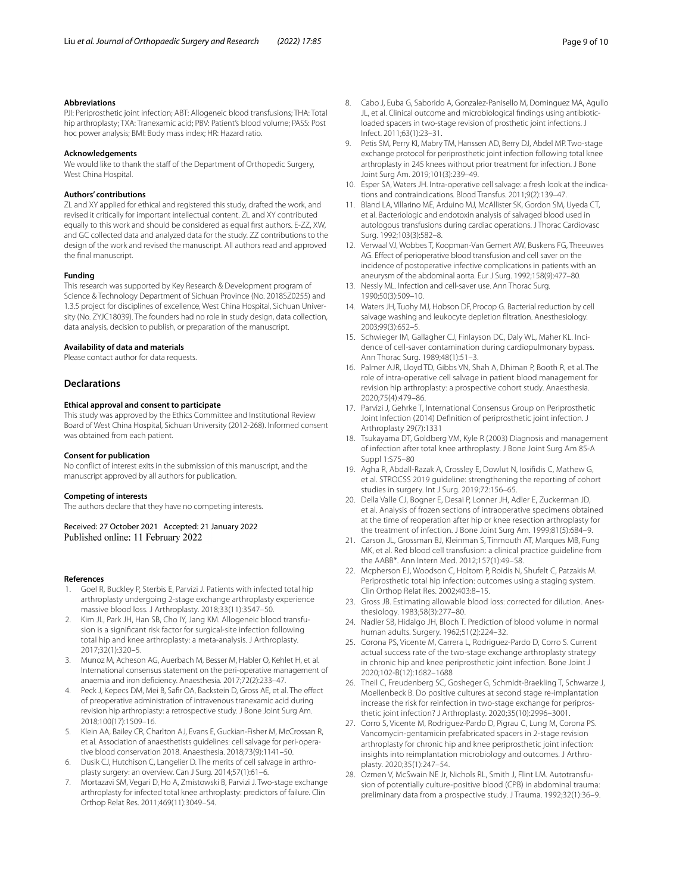#### **Abbreviations**

PJI: Periprosthetic joint infection; ABT: Allogeneic blood transfusions; THA: Total hip arthroplasty; TXA: Tranexamic acid; PBV: Patient's blood volume; PASS: Post hoc power analysis; BMI: Body mass index; HR: Hazard ratio.

#### **Acknowledgements**

We would like to thank the staff of the Department of Orthopedic Surgery, West China Hospital.

#### **Authors' contributions**

ZL and XY applied for ethical and registered this study, drafted the work, and revised it critically for important intellectual content. ZL and XY contributed equally to this work and should be considered as equal frst authors. E-ZZ, XW, and GC collected data and analyzed data for the study. ZZ contributions to the design of the work and revised the manuscript. All authors read and approved the fnal manuscript.

#### **Funding**

This research was supported by Key Research & Development program of Science & Technology Department of Sichuan Province (No. 2018SZ0255) and 1.3.5 project for disciplines of excellence, West China Hospital, Sichuan University (No. ZYJC18039). The founders had no role in study design, data collection, data analysis, decision to publish, or preparation of the manuscript.

#### **Availability of data and materials**

Please contact author for data requests.

#### **Declarations**

#### **Ethical approval and consent to participate**

This study was approved by the Ethics Committee and Institutional Review Board of West China Hospital, Sichuan University (2012-268). Informed consent was obtained from each patient.

#### **Consent for publication**

No confict of interest exits in the submission of this manuscript, and the manuscript approved by all authors for publication.

#### **Competing of interests**

The authors declare that they have no competing interests.

Received: 27 October 2021 Accepted: 21 January 2022 Published online: 11 February 2022

#### **References**

- <span id="page-8-0"></span>1. Goel R, Buckley P, Sterbis E, Parvizi J. Patients with infected total hip arthroplasty undergoing 2-stage exchange arthroplasty experience massive blood loss. J Arthroplasty. 2018;33(11):3547–50.
- <span id="page-8-1"></span>2. Kim JL, Park JH, Han SB, Cho IY, Jang KM. Allogeneic blood transfusion is a signifcant risk factor for surgical-site infection following total hip and knee arthroplasty: a meta-analysis. J Arthroplasty. 2017;32(1):320–5.
- <span id="page-8-2"></span>3. Munoz M, Acheson AG, Auerbach M, Besser M, Habler O, Kehlet H, et al. International consensus statement on the peri-operative management of anaemia and iron defciency. Anaesthesia. 2017;72(2):233–47.
- Peck J, Kepecs DM, Mei B, Safir OA, Backstein D, Gross AE, et al. The effect of preoperative administration of intravenous tranexamic acid during revision hip arthroplasty: a retrospective study. J Bone Joint Surg Am. 2018;100(17):1509–16.
- <span id="page-8-3"></span>5. Klein AA, Bailey CR, Charlton AJ, Evans E, Guckian-Fisher M, McCrossan R, et al. Association of anaesthetists guidelines: cell salvage for peri-operative blood conservation 2018. Anaesthesia. 2018;73(9):1141–50.
- <span id="page-8-4"></span>6. Dusik CJ, Hutchison C, Langelier D. The merits of cell salvage in arthroplasty surgery: an overview. Can J Surg. 2014;57(1):61–6.
- <span id="page-8-5"></span>7. Mortazavi SM, Vegari D, Ho A, Zmistowski B, Parvizi J. Two-stage exchange arthroplasty for infected total knee arthroplasty: predictors of failure. Clin Orthop Relat Res. 2011;469(11):3049–54.
- <span id="page-8-6"></span>8. Cabo J, Euba G, Saborido A, Gonzalez-Panisello M, Dominguez MA, Agullo JL, et al. Clinical outcome and microbiological fndings using antibioticloaded spacers in two-stage revision of prosthetic joint infections. J Infect. 2011;63(1):23–31.
- <span id="page-8-7"></span>9. Petis SM, Perry KI, Mabry TM, Hanssen AD, Berry DJ, Abdel MP. Two-stage exchange protocol for periprosthetic joint infection following total knee arthroplasty in 245 knees without prior treatment for infection. J Bone Joint Surg Am. 2019;101(3):239–49.
- <span id="page-8-8"></span>10. Esper SA, Waters JH. Intra-operative cell salvage: a fresh look at the indications and contraindications. Blood Transfus. 2011;9(2):139–47.
- <span id="page-8-9"></span>11. Bland LA, Villarino ME, Arduino MJ, McAllister SK, Gordon SM, Uyeda CT, et al. Bacteriologic and endotoxin analysis of salvaged blood used in autologous transfusions during cardiac operations. J Thorac Cardiovasc Surg. 1992;103(3):582–8.
- <span id="page-8-11"></span>12. Verwaal VJ, Wobbes T, Koopman-Van Gemert AW, Buskens FG, Theeuwes AG. Efect of perioperative blood transfusion and cell saver on the incidence of postoperative infective complications in patients with an aneurysm of the abdominal aorta. Eur J Surg. 1992;158(9):477–80.
- <span id="page-8-10"></span>13. Nessly ML. Infection and cell-saver use. Ann Thorac Surg. 1990;50(3):509–10.
- <span id="page-8-12"></span>14. Waters JH, Tuohy MJ, Hobson DF, Procop G. Bacterial reduction by cell salvage washing and leukocyte depletion fltration. Anesthesiology. 2003;99(3):652–5.
- <span id="page-8-13"></span>15. Schwieger IM, Gallagher CJ, Finlayson DC, Daly WL, Maher KL. Incidence of cell-saver contamination during cardiopulmonary bypass. Ann Thorac Surg. 1989;48(1):51–3.
- <span id="page-8-14"></span>16. Palmer AJR, Lloyd TD, Gibbs VN, Shah A, Dhiman P, Booth R, et al. The role of intra-operative cell salvage in patient blood management for revision hip arthroplasty: a prospective cohort study. Anaesthesia. 2020;75(4):479–86.
- <span id="page-8-15"></span>17. Parvizi J, Gehrke T, International Consensus Group on Periprosthetic Joint Infection (2014) Defnition of periprosthetic joint infection. J Arthroplasty 29(7):1331
- <span id="page-8-16"></span>18. Tsukayama DT, Goldberg VM, Kyle R (2003) Diagnosis and management of infection after total knee arthroplasty. J Bone Joint Surg Am 85-A Suppl 1:S75–80
- <span id="page-8-17"></span>19. Agha R, Abdall-Razak A, Crossley E, Dowlut N, Iosifdis C, Mathew G, et al. STROCSS 2019 guideline: strengthening the reporting of cohort studies in surgery. Int J Surg. 2019;72:156–65.
- <span id="page-8-18"></span>20. Della Valle CJ, Bogner E, Desai P, Lonner JH, Adler E, Zuckerman JD, et al. Analysis of frozen sections of intraoperative specimens obtained at the time of reoperation after hip or knee resection arthroplasty for the treatment of infection. J Bone Joint Surg Am. 1999;81(5):684–9.
- <span id="page-8-19"></span>21. Carson JL, Grossman BJ, Kleinman S, Tinmouth AT, Marques MB, Fung MK, et al. Red blood cell transfusion: a clinical practice guideline from the AABB\*. Ann Intern Med. 2012;157(1):49–58.
- <span id="page-8-20"></span>22. Mcpherson EJ, Woodson C, Holtom P, Roidis N, Shufelt C, Patzakis M. Periprosthetic total hip infection: outcomes using a staging system. Clin Orthop Relat Res. 2002;403:8–15.
- <span id="page-8-21"></span>23. Gross JB. Estimating allowable blood loss: corrected for dilution. Anesthesiology. 1983;58(3):277–80.
- <span id="page-8-22"></span>24. Nadler SB, Hidalgo JH, Bloch T. Prediction of blood volume in normal human adults. Surgery. 1962;51(2):224–32.
- <span id="page-8-23"></span>25. Corona PS, Vicente M, Carrera L, Rodriguez-Pardo D, Corro S. Current actual success rate of the two-stage exchange arthroplasty strategy in chronic hip and knee periprosthetic joint infection. Bone Joint J 2020;102-B(12):1682–1688
- <span id="page-8-24"></span>26. Theil C, Freudenberg SC, Gosheger G, Schmidt-Braekling T, Schwarze J, Moellenbeck B. Do positive cultures at second stage re-implantation increase the risk for reinfection in two-stage exchange for periprosthetic joint infection? J Arthroplasty. 2020;35(10):2996–3001.
- <span id="page-8-25"></span>27. Corro S, Vicente M, Rodriguez-Pardo D, Pigrau C, Lung M, Corona PS. Vancomycin-gentamicin prefabricated spacers in 2-stage revision arthroplasty for chronic hip and knee periprosthetic joint infection: insights into reimplantation microbiology and outcomes. J Arthroplasty. 2020;35(1):247–54.
- <span id="page-8-26"></span>28. Ozmen V, McSwain NE Jr, Nichols RL, Smith J, Flint LM. Autotransfusion of potentially culture-positive blood (CPB) in abdominal trauma: preliminary data from a prospective study. J Trauma. 1992;32(1):36–9.